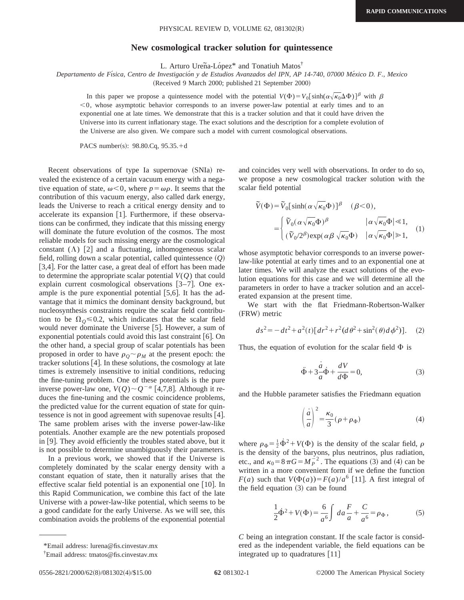## **New cosmological tracker solution for quintessence**

L. Arturo Ureña-López $*$  and Tonatiuh Matos $*$ 

*Departamento de Fı´sica, Centro de Investigacio´n y de Estudios Avanzados del IPN, AP 14-740, 07000 Me´xico D. F., Mexico*

(Received 9 March 2000; published 21 September 2000)

In this paper we propose a quintessence model with the potential  $V(\Phi) = V_0[\sinh(\alpha \sqrt{\kappa_0} \Delta \Phi)]^{\beta}$  with  $\beta$ ,0, whose asymptotic behavior corresponds to an inverse power-law potential at early times and to an exponential one at late times. We demonstrate that this is a tracker solution and that it could have driven the Universe into its current inflationary stage. The exact solutions and the description for a complete evolution of the Universe are also given. We compare such a model with current cosmological observations.

PACS number(s):  $98.80.Cq$ ,  $95.35.+d$ 

Recent observations of type Ia supernovae (SNIa) revealed the existence of a certain vacuum energy with a negative equation of state,  $\omega < 0$ , where  $p = \omega \rho$ . It seems that the contribution of this vacuum energy, also called dark energy, leads the Universe to reach a critical energy density and to accelerate its expansion  $[1]$ . Furthermore, if these observations can be confirmed, they indicate that this missing energy will dominate the future evolution of the cosmos. The most reliable models for such missing energy are the cosmological constant  $(\Lambda)$  [2] and a fluctuating, inhomogeneous scalar field, rolling down a scalar potential, called quintessence  $(Q)$ [3,4]. For the latter case, a great deal of effort has been made to determine the appropriate scalar potential  $V(Q)$  that could explain current cosmological observations  $[3-7]$ . One example is the pure exponential potential  $[5,6]$ . It has the advantage that it mimics the dominant density background, but nucleosynthesis constraints require the scalar field contribution to be  $\Omega_0 \le 0.2$ , which indicates that the scalar field would never dominate the Universe  $[5]$ . However, a sum of exponential potentials could avoid this last constraint  $[6]$ . On the other hand, a special group of scalar potentials has been proposed in order to have  $\rho_0 \sim \rho_M$  at the present epoch: the tracker solutions  $[4]$ . In these solutions, the cosmology at late times is extremely insensitive to initial conditions, reducing the fine-tuning problem. One of these potentials is the pure inverse power-law one,  $V(Q) \sim Q^{-\alpha}$  [4,7,8]. Although it reduces the fine-tuning and the cosmic coincidence problems, the predicted value for the current equation of state for quintessence is not in good agreement with supenovae results [4]. The same problem arises with the inverse power-law-like potentials. Another example are the new potentials proposed in [9]. They avoid efficiently the troubles stated above, but it is not possible to determine unambiguously their parameters.

In a previous work, we showed that if the Universe is completely dominated by the scalar energy density with a constant equation of state, then it naturally arises that the effective scalar field potential is an exponential one  $[10]$ . In this Rapid Communication, we combine this fact of the late Universe with a power-law-like potential, which seems to be a good candidate for the early Universe. As we will see, this combination avoids the problems of the exponential potential

\*Email address: lurena@fis.cinvestav.mx

and coincides very well with observations. In order to do so, we propose a new cosmological tracker solution with the scalar field potential

$$
\tilde{V}(\Phi) = \tilde{V}_0[\sinh(\alpha \sqrt{\kappa_0} \Phi)]^{\beta} \quad (\beta < 0),
$$

$$
= \begin{cases} \tilde{V}_0(\alpha \sqrt{\kappa_0} \Phi)^{\beta} & |\alpha \sqrt{\kappa_0} \Phi| \ll 1, \\ (\tilde{V}_0/2^{\beta}) \exp(\alpha \beta \sqrt{\kappa_0} \Phi) & |\alpha \sqrt{\kappa_0} \Phi| \ge 1, \end{cases} (1)
$$

whose asymptotic behavior corresponds to an inverse powerlaw-like potential at early times and to an exponential one at later times. We will analyze the exact solutions of the evolution equations for this case and we will determine all the parameters in order to have a tracker solution and an accelerated expansion at the present time.

We start with the flat Friedmann-Robertson-Walker (FRW) metric

$$
ds^{2} = -dt^{2} + a^{2}(t)[dr^{2} + r^{2}(d\theta^{2} + \sin^{2}(\theta)d\phi^{2})].
$$
 (2)

Thus, the equation of evolution for the scalar field  $\Phi$  is

$$
\ddot{\Phi} + 3\frac{\dot{a}}{a}\dot{\Phi} + \frac{dV}{d\Phi} = 0,\tag{3}
$$

and the Hubble parameter satisfies the Friedmann equation

$$
\left(\frac{\dot{a}}{a}\right)^2 = \frac{\kappa_0}{3} (\rho + \rho_\Phi)
$$
 (4)

where  $\rho_{\Phi} = \frac{1}{2} \dot{\Phi}^2 + V(\Phi)$  is the density of the scalar field,  $\rho$ is the density of the baryons, plus neutrinos, plus radiation, etc., and  $\kappa_0 = 8 \pi G = M_P^{-2}$ . The equations (3) and (4) can be written in a more convenient form if we define the function *F*(*a*) such that  $V(\Phi(a)) = F(a)/a^6$  [11]. A first integral of the field equation  $(3)$  can be found

$$
\frac{1}{2}\dot{\Phi}^2 + V(\Phi) = \frac{6}{a^6} \int da \frac{F}{a} + \frac{C}{a^6} = \rho_{\Phi} ,
$$
 (5)

*C* being an integration constant. If the scale factor is considered as the independent variable, the field equations can be integrated up to quadratures  $[11]$ 

<sup>†</sup> Email address: tmatos@fis.cinvestav.mx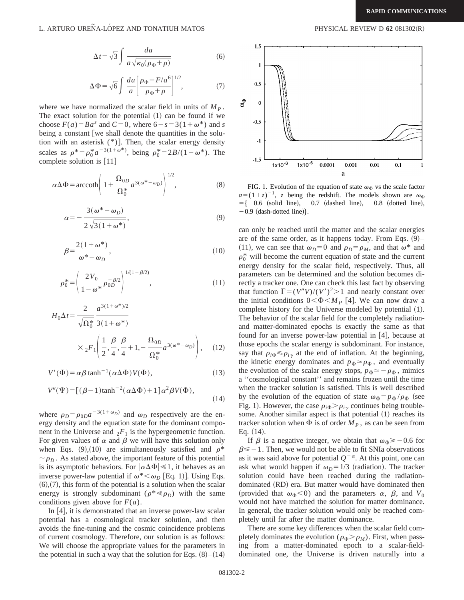## L. ARTURO UREÑA-LÓPEZ AND TONATIUH MATOS **PHYSICAL REVIEW D** 62 081302(R)

$$
\Delta t = \sqrt{3} \int \frac{da}{a \sqrt{\kappa_0(\rho_\Phi + \rho)}}\tag{6}
$$

$$
\Delta \Phi = \sqrt{6} \int \frac{da}{a} \left[ \frac{\rho_{\Phi} - F/a^6}{\rho_{\Phi} + \rho} \right]^{1/2}, \tag{7}
$$

where we have normalized the scalar field in units of  $M_p$ . The exact solution for the potential  $(1)$  can be found if we choose  $F(a) = Ba^s$  and  $C=0$ , where  $6-s=3(1+\omega^*)$  and *s* being a constant [we shall denote the quantities in the solution with an asterisk  $(*)$ ]. Then, the scalar energy density scales as  $\rho^* = \rho_0^* a^{-3(1+\omega^*)}$ , being  $\rho_0^* = 2B/(1-\omega^*)$ . The complete solution is  $[11]$ 

$$
\alpha \Delta \Phi = \operatorname{arccoth} \left( 1 + \frac{\Omega_{0D}}{\Omega_0^*} a^{3(\omega^* - \omega_D)} \right)^{1/2},\tag{8}
$$

$$
\alpha = -\frac{3(\omega^* - \omega_D)}{2\sqrt{3(1 + \omega^*)}},\tag{9}
$$

$$
\beta = \frac{2(1+\omega^*)}{\omega^* - \omega_D},\tag{10}
$$

$$
\rho_0^* = \left(\frac{2V_0}{1 - \omega^*} \rho_0^{-\beta/2}\right)^{1/(1 - \beta/2)},\tag{11}
$$

$$
H_0 \Delta t = \frac{2}{\sqrt{\Omega_0^*}} \frac{a^{3(1+\omega^*)/2}}{3(1+\omega^*)} \times {}_2F_1 \left( \frac{1}{2}, \frac{\beta}{4}, \frac{\beta}{4} + 1, -\frac{\Omega_{0D}}{\Omega_0^*} a^{3(\omega^* - \omega_D)} \right), \quad (12)
$$

$$
V'(\Phi) = \alpha \beta \tanh^{-1}(\alpha \Delta \Phi) V(\Phi), \tag{13}
$$

$$
V''(\Psi) = [(\beta - 1)\tanh^{-2}(\alpha \Delta \Phi) + 1]\alpha^2 \beta V(\Phi), \tag{14}
$$

where  $\rho_D = \rho_{0D} a^{-3(1+\omega_D)}$  and  $\omega_D$  respectively are the energy density and the equation state for the dominant component in the Universe and  $_2F_1$  is the hypergeometric function. For given values of  $\alpha$  and  $\beta$  we will have this solution only when Eqs. (9),(10) are simultaneously satisfied and  $\rho^*$  $\sim \rho_D$ . As stated above, the important feature of this potential is its asymptotic behaviors. For  $|\alpha\Delta\Phi| \ll 1$ , it behaves as an inverse power-law potential if  $\omega^*<\omega_D$  [Eq. 1)]. Using Eqs.  $(6)$ , (7), this form of the potential is a solution when the scalar energy is strongly subdominant ( $\rho^* \ll \rho_D$ ) with the same conditions given above for *F*(*a*).

In  $[4]$ , it is demonstrated that an inverse power-law scalar potential has a cosmological tracker solution, and then avoids the fine-tuning and the cosmic coincidence problems of current cosmology. Therefore, our solution is as follows: We will choose the appropriate values for the parameters in the potential in such a way that the solution for Eqs.  $(8)–(14)$ 



FIG. 1. Evolution of the equation of state  $\omega_{\Phi}$  vs the scale factor  $a=(1+z)^{-1}$ , *z* being the redshift. The models shown are  $\omega_{\Phi}$  $=\{-0.6$  (solid line),  $-0.7$  (dashed line),  $-0.8$  (dotted line),  $-0.9$  (dash-dotted line).

can only be reached until the matter and the scalar energies are of the same order, as it happens today. From Eqs.  $(9)$ – (11), we can see that  $\omega_D = 0$  and  $\rho_D = \rho_M$ , and that  $\omega^*$  and  $\rho_0^*$  will become the current equation of state and the current energy density for the scalar field, respectively. Thus, all parameters can be determined and the solution becomes directly a tracker one. One can check this last fact by observing that function  $\Gamma = (V''V)/(V')^2 > 1$  and nearly constant over the initial conditions  $0<\Phi < M_p$  [4]. We can now draw a complete history for the Universe modeled by potential  $(1)$ . The behavior of the scalar field for the completely radiationand matter-dominated epochs is exactly the same as that found for an inverse power-law potential in  $|4|$ , because at those epochs the scalar energy is subdominant. For instance, say that  $\rho_i \otimes \rho_i \otimes \rho_i$  at the end of inflation. At the beginning, the kinetic energy dominates and  $p_{\Phi} \simeq \rho_{\Phi}$ , and eventually the evolution of the scalar energy stops,  $p_{\Phi} \simeq -\rho_{\Phi}$ , mimics a ''cosmological constant'' and remains frozen until the time when the tracker solution is satisfied. This is well described by the evolution of the equation of state  $\omega_{\Phi} = p_{\Phi}/\rho_{\Phi}$  (see Fig. 1). However, the case  $\rho_{i\Phi} > \rho_{i\gamma}$  continues being troublesome. Another similar aspect is that potential  $(1)$  reaches its tracker solution when  $\Phi$  is of order  $M_p$ , as can be seen from Eq.  $(14)$ .

If  $\beta$  is a negative integer, we obtain that  $\omega_{\Phi} \geq -0.6$  for  $\beta \leq -1$ . Then, we would not be able to fit SNIa observations as it was said above for potential  $Q^{-\alpha}$ . At this point, one can ask what would happen if  $\omega_D = 1/3$  (radiation). The tracker solution could have been reached during the radiationdominated (RD) era. But matter would have dominated then (provided that  $\omega_{\Phi} < 0$ ) and the parameters  $\alpha$ ,  $\beta$ , and  $V_0$ would not have matched the solution for matter dominance. In general, the tracker solution would only be reached completely until far after the matter dominance.

There are some key differences when the scalar field completely dominates the evolution ( $\rho_{\Phi} > \rho_M$ ). First, when passing from a matter-dominated epoch to a scalar-fielddominated one, the Universe is driven naturally into a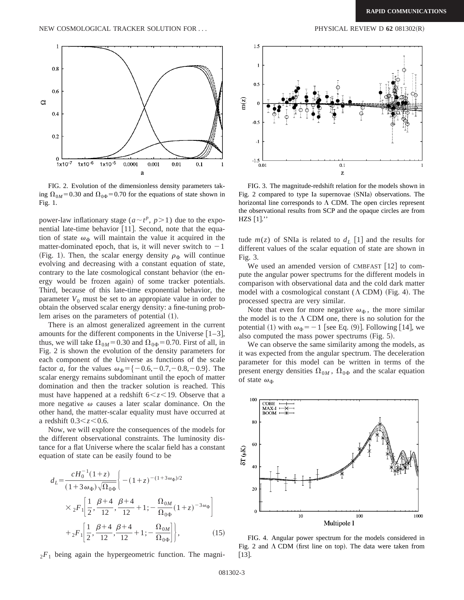

FIG. 2. Evolution of the dimensionless density parameters taking  $\Omega_{0M}$ =0.30 and  $\Omega_{0\Phi}$ =0.70 for the equations of state shown in Fig. 1.

power-law inflationary stage  $(a \sim t^p, p>1)$  due to the exponential late-time behavior [11]. Second, note that the equation of state  $\omega_{\Phi}$  will maintain the value it acquired in the matter-dominated epoch, that is, it will never switch to  $-1$ (Fig. 1). Then, the scalar energy density  $\rho_{\Phi}$  will continue evolving and decreasing with a constant equation of state, contrary to the late cosmological constant behavior (the energy would be frozen again) of some tracker potentials. Third, because of this late-time exponential behavior, the parameter  $V_0$  must be set to an appropiate value in order to obtain the observed scalar energy density: a fine-tuning problem arises on the parameters of potential (1).

There is an almost generalized agreement in the current amounts for the different components in the Universe  $[1-3]$ , thus, we will take  $\Omega_{0M}$ =0.30 and  $\Omega_{0\Phi}$ =0.70. First of all, in Fig. 2 is shown the evolution of the density parameters for each component of the Universe as functions of the scale factor *a*, for the values  $\omega_{\Phi} = \{-0.6, -0.7, -0.8, -0.9\}$ . The scalar energy remains subdominant until the epoch of matter domination and then the tracker solution is reached. This must have happened at a redshift  $6 < z < 19$ . Observe that a more negative  $\omega$  causes a later scalar dominance. On the other hand, the matter-scalar equality must have occurred at a redshift  $0.3 < z < 0.6$ .

Now, we will explore the consequences of the models for the different observational constraints. The luminosity distance for a flat Universe where the scalar field has a constant equation of state can be easily found to be

$$
d_{L} = \frac{cH_{0}^{-1}(1+z)}{(1+3\omega_{\Phi})\sqrt{\Omega_{0\Phi}}} \Biggl\{ -(1+z)^{-(1+3\omega_{\Phi})/2} \times {}_{2}F_{1} \Biggl[ \frac{1}{2}, \frac{\beta+4}{12}, \frac{\beta+4}{12} + 1; -\frac{\Omega_{0M}}{\Omega_{0\Phi}} (1+z)^{-3\omega_{\Phi}} \Biggr] + {}_{2}F_{1} \Biggl[ \frac{1}{2}, \frac{\beta+4}{12}, \frac{\beta+4}{12} + 1; -\frac{\Omega_{0M}}{\Omega_{0\Phi}} \Biggr] \Biggr\},
$$
(15)

 $2F_1$  being again the hypergeometric function. The magni-



FIG. 3. The magnitude-redshift relation for the models shown in Fig. 2 compared to type Ia supernovae (SNIa) observations. The horizontal line corresponds to  $\Lambda$  CDM. The open circles represent the observational results from SCP and the opaque circles are from HZS  $[1]'$ .

tude  $m(z)$  of SNIa is related to  $d<sub>L</sub> [1]$  and the results for different values of the scalar equation of state are shown in Fig. 3.

We used an amended version of CMBFAST  $[12]$  to compute the angular power spectrums for the different models in comparison with observational data and the cold dark matter model with a cosmological constant  $( \Lambda \text{ CDM})$  (Fig. 4). The processed spectra are very similar.

Note that even for more negative  $\omega_{\Phi}$ , the more similar the model is to the  $\Lambda$  CDM one, there is no solution for the potential (1) with  $\omega_{\Phi}$ = -1 [see Eq. (9)]. Following [14], we also computed the mass power spectrums  $(Fig. 5)$ .

We can observe the same similarity among the models, as it was expected from the angular spectrum. The deceleration parameter for this model can be written in terms of the present energy densities  $\Omega_{0M}$ ,  $\Omega_{0\Phi}$  and the scalar equation of state  $\omega_{\Phi}$ 



FIG. 4. Angular power spectrum for the models considered in Fig. 2 and  $\Lambda$  CDM (first line on top). The data were taken from  $\lceil 13 \rceil$ .